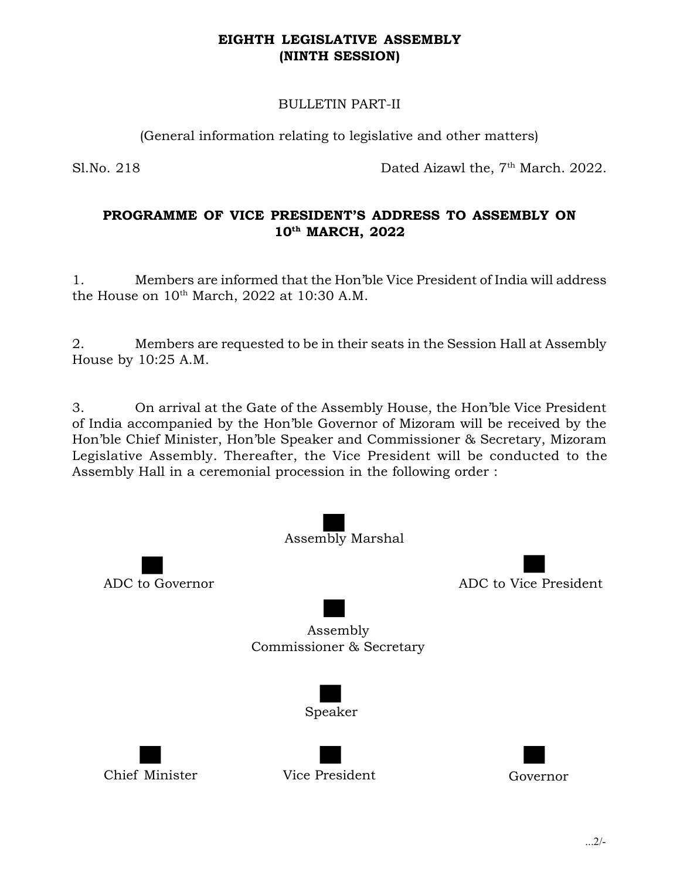## EIGHTH LEGISLATIVE ASSEMBLY (NINTH SESSION)

## BULLETIN PART-II

(General information relating to legislative and other matters)

Sl.No. 218 Dated Aizawl the, 7<sup>th</sup> March. 2022.

## PROGRAMME OF VICE PRESIDENT'S ADDRESS TO ASSEMBLY ON 10<sup>th</sup> MARCH, 2022

1. Members are informed that the Hon'ble Vice President of India will address the House on  $10<sup>th</sup>$  March, 2022 at 10:30 A.M.

2. Members are requested to be in their seats in the Session Hall at Assembly House by 10:25 A.M.

3. On arrival at the Gate of the Assembly House, the Hon'ble Vice President of India accompanied by the Hon'ble Governor of Mizoram will be received by the Hon'ble Chief Minister, Hon'ble Speaker and Commissioner & Secretary, Mizoram Legislative Assembly. Thereafter, the Vice President will be conducted to the Assembly Hall in a ceremonial procession in the following order :